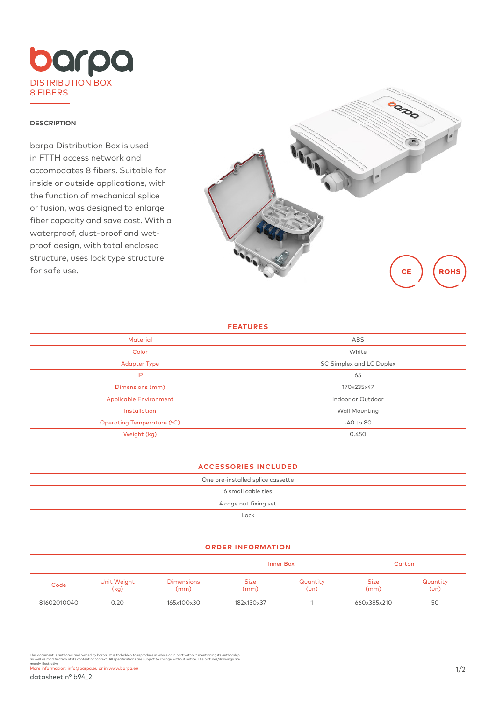

## **DESCRIPTION**

barpa Distribution Box is used in FTTH access network and accomodates 8 fibers. Suitable for inside or outside applications, with the function of mechanical splice or fusion, was designed to enlarge fiber capacity and save cost. With a waterproof, dust-proof and wetproof design, with total enclosed structure, uses lock type structure for safe use.



#### **FEATURES**

| <b>Material</b>               | ABS                      |  |  |
|-------------------------------|--------------------------|--|--|
| Color                         | White                    |  |  |
| <b>Adapter Type</b>           | SC Simplex and LC Duplex |  |  |
| IP                            | 65                       |  |  |
| Dimensions (mm)               | 170x235x47               |  |  |
| <b>Applicable Environment</b> | Indoor or Outdoor        |  |  |
| Installation                  | <b>Wall Mounting</b>     |  |  |
| Operating Temperature (°C)    | $-40$ to 80              |  |  |
| Weight (kg)                   | 0.450                    |  |  |
|                               |                          |  |  |

# **ACCESSORIES INCLUDED**

| One pre-installed splice cassette |  |  |  |  |
|-----------------------------------|--|--|--|--|
| 6 small cable ties                |  |  |  |  |
| 4 cage nut fixing set             |  |  |  |  |
| Lock                              |  |  |  |  |
|                                   |  |  |  |  |

### **ORDER INFORMATION**

|             |                     |                           | Inner Box           |                  | Carton              |                        |
|-------------|---------------------|---------------------------|---------------------|------------------|---------------------|------------------------|
| Code        | Unit Weight<br>(kg) | <b>Dimensions</b><br>(mm) | <b>Size</b><br>(mm) | Quantity<br>(un) | <b>Size</b><br>(mm) | Quantity<br>$(\cup n)$ |
| 81602010040 | 0.20                | 165x100x30                | 182x130x37          |                  | 660x385x210         | 50                     |

This document is authored and owned by barpa . It is forbidden to reproduce in whole or in part without mentioning its authorship ,<br>as well as modification of its content or context. All specifications are subject to chang